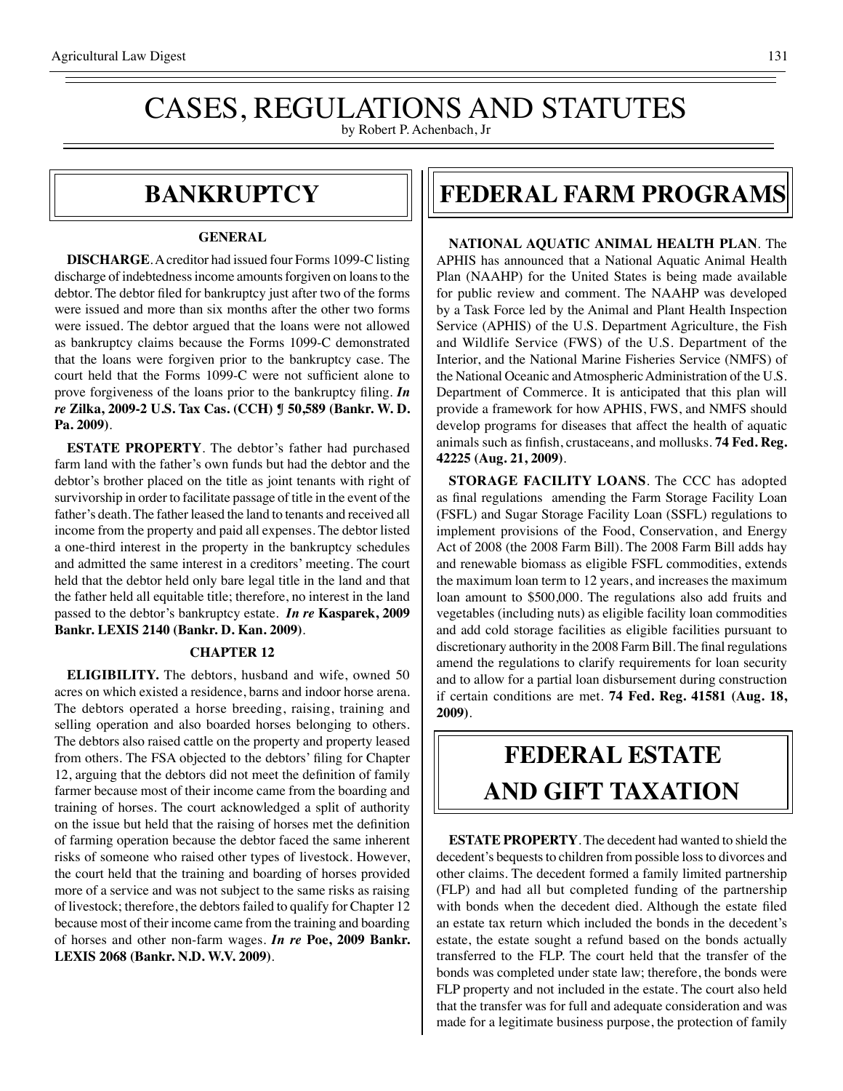## CASES, REGULATIONS AND STATUTES by Robert P. Achenbach, Jr

## **bankruptcy**

#### **GENERAL**

**DISCHARGE**. A creditor had issued four Forms 1099-C listing discharge of indebtedness income amounts forgiven on loans to the debtor. The debtor filed for bankruptcy just after two of the forms were issued and more than six months after the other two forms were issued. The debtor argued that the loans were not allowed as bankruptcy claims because the Forms 1099-C demonstrated that the loans were forgiven prior to the bankruptcy case. The court held that the Forms 1099-C were not sufficient alone to prove forgiveness of the loans prior to the bankruptcy filing. *In re* **Zilka, 2009-2 U.S. Tax Cas. (CCH) ¶ 50,589 (Bankr. W. D. Pa. 2009)**.

**ESTATE PROPERTY**. The debtor's father had purchased farm land with the father's own funds but had the debtor and the debtor's brother placed on the title as joint tenants with right of survivorship in order to facilitate passage of title in the event of the father's death. The father leased the land to tenants and received all income from the property and paid all expenses. The debtor listed a one-third interest in the property in the bankruptcy schedules and admitted the same interest in a creditors' meeting. The court held that the debtor held only bare legal title in the land and that the father held all equitable title; therefore, no interest in the land passed to the debtor's bankruptcy estate. *In re* **Kasparek, 2009 Bankr. LEXIS 2140 (Bankr. D. Kan. 2009)**.

## **CHAPTER 12**

**ELIGIBILITY.** The debtors, husband and wife, owned 50 acres on which existed a residence, barns and indoor horse arena. The debtors operated a horse breeding, raising, training and selling operation and also boarded horses belonging to others. The debtors also raised cattle on the property and property leased from others. The FSA objected to the debtors' filing for Chapter 12, arguing that the debtors did not meet the definition of family farmer because most of their income came from the boarding and training of horses. The court acknowledged a split of authority on the issue but held that the raising of horses met the definition of farming operation because the debtor faced the same inherent risks of someone who raised other types of livestock. However, the court held that the training and boarding of horses provided more of a service and was not subject to the same risks as raising of livestock; therefore, the debtors failed to qualify for Chapter 12 because most of their income came from the training and boarding of horses and other non-farm wages. *In re* **Poe, 2009 Bankr. LEXIS 2068 (Bankr. N.D. W.V. 2009)**.

## **federal FARM PROGRAMS**

**NATIONAL AQUATIC ANIMAL HEALTH PLAN**. The APHIS has announced that a National Aquatic Animal Health Plan (NAAHP) for the United States is being made available for public review and comment. The NAAHP was developed by a Task Force led by the Animal and Plant Health Inspection Service (APHIS) of the U.S. Department Agriculture, the Fish and Wildlife Service (FWS) of the U.S. Department of the Interior, and the National Marine Fisheries Service (NMFS) of the National Oceanic and Atmospheric Administration of the U.S. Department of Commerce. It is anticipated that this plan will provide a framework for how APHIS, FWS, and NMFS should develop programs for diseases that affect the health of aquatic animals such as finfish, crustaceans, and mollusks. **74 Fed. Reg. 42225 (Aug. 21, 2009)**.

**STORAGE FACILITY LOANS**. The CCC has adopted as final regulations amending the Farm Storage Facility Loan (FSFL) and Sugar Storage Facility Loan (SSFL) regulations to implement provisions of the Food, Conservation, and Energy Act of 2008 (the 2008 Farm Bill). The 2008 Farm Bill adds hay and renewable biomass as eligible FSFL commodities, extends the maximum loan term to 12 years, and increases the maximum loan amount to \$500,000. The regulations also add fruits and vegetables (including nuts) as eligible facility loan commodities and add cold storage facilities as eligible facilities pursuant to discretionary authority in the 2008 Farm Bill. The final regulations amend the regulations to clarify requirements for loan security and to allow for a partial loan disbursement during construction if certain conditions are met. **74 Fed. Reg. 41581 (Aug. 18, 2009)**.

# **federal ESTATE AND GIFT taxation**

**ESTATE PROPERTY**. The decedent had wanted to shield the decedent's bequests to children from possible loss to divorces and other claims. The decedent formed a family limited partnership (FLP) and had all but completed funding of the partnership with bonds when the decedent died. Although the estate filed an estate tax return which included the bonds in the decedent's estate, the estate sought a refund based on the bonds actually transferred to the FLP. The court held that the transfer of the bonds was completed under state law; therefore, the bonds were FLP property and not included in the estate. The court also held that the transfer was for full and adequate consideration and was made for a legitimate business purpose, the protection of family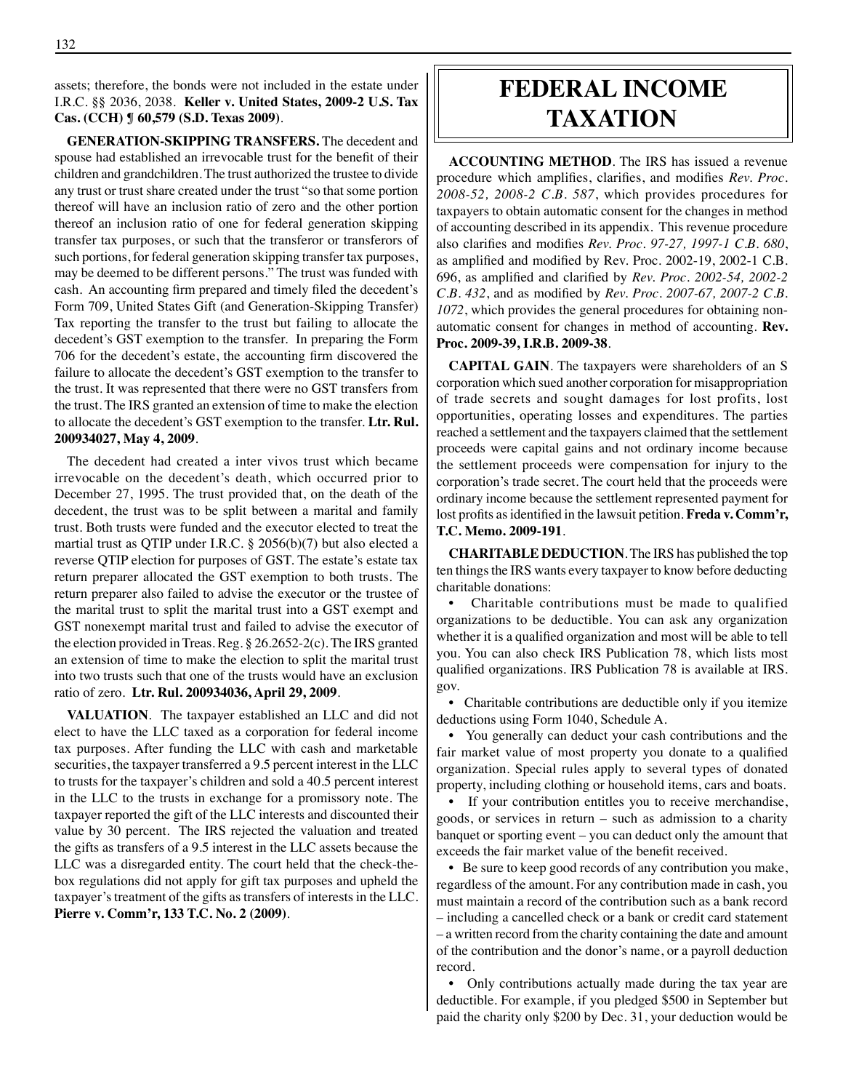### assets; therefore, the bonds were not included in the estate under I.R.C. §§ 2036, 2038. **Keller v. United States, 2009-2 U.S. Tax Cas. (CCH) ¶ 60,579 (S.D. Texas 2009)**.

**GENERATION-SKIPPING TRANSFERS.** The decedent and spouse had established an irrevocable trust for the benefit of their children and grandchildren. The trust authorized the trustee to divide any trust or trust share created under the trust "so that some portion thereof will have an inclusion ratio of zero and the other portion thereof an inclusion ratio of one for federal generation skipping transfer tax purposes, or such that the transferor or transferors of such portions, for federal generation skipping transfer tax purposes, may be deemed to be different persons." The trust was funded with cash. An accounting firm prepared and timely filed the decedent's Form 709, United States Gift (and Generation-Skipping Transfer) Tax reporting the transfer to the trust but failing to allocate the decedent's GST exemption to the transfer. In preparing the Form 706 for the decedent's estate, the accounting firm discovered the failure to allocate the decedent's GST exemption to the transfer to the trust. It was represented that there were no GST transfers from the trust. The IRS granted an extension of time to make the election to allocate the decedent's GST exemption to the transfer. **Ltr. Rul. 200934027, May 4, 2009**.

The decedent had created a inter vivos trust which became irrevocable on the decedent's death, which occurred prior to December 27, 1995. The trust provided that, on the death of the decedent, the trust was to be split between a marital and family trust. Both trusts were funded and the executor elected to treat the martial trust as QTIP under I.R.C. § 2056(b)(7) but also elected a reverse QTIP election for purposes of GST. The estate's estate tax return preparer allocated the GST exemption to both trusts. The return preparer also failed to advise the executor or the trustee of the marital trust to split the marital trust into a GST exempt and GST nonexempt marital trust and failed to advise the executor of the election provided in Treas. Reg. § 26.2652-2(c). The IRS granted an extension of time to make the election to split the marital trust into two trusts such that one of the trusts would have an exclusion ratio of zero. **Ltr. Rul. 200934036, April 29, 2009**.

**VALUATION**. The taxpayer established an LLC and did not elect to have the LLC taxed as a corporation for federal income tax purposes. After funding the LLC with cash and marketable securities, the taxpayer transferred a 9.5 percent interest in the LLC to trusts for the taxpayer's children and sold a 40.5 percent interest in the LLC to the trusts in exchange for a promissory note. The taxpayer reported the gift of the LLC interests and discounted their value by 30 percent. The IRS rejected the valuation and treated the gifts as transfers of a 9.5 interest in the LLC assets because the LLC was a disregarded entity. The court held that the check-thebox regulations did not apply for gift tax purposes and upheld the taxpayer's treatment of the gifts as transfers of interests in the LLC. **Pierre v. Comm'r, 133 T.C. No. 2 (2009)**.

## **federal income taxation**

**ACCOUNTING METHOD**. The IRS has issued a revenue procedure which amplifies, clarifies, and modifies *Rev. Proc. 2008-52, 2008-2 C.B. 587*, which provides procedures for taxpayers to obtain automatic consent for the changes in method of accounting described in its appendix. This revenue procedure also clarifies and modifies *Rev. Proc. 97-27, 1997-1 C.B. 680*, as amplified and modified by Rev. Proc. 2002-19, 2002-1 C.B. 696, as amplified and clarified by *Rev. Proc. 2002-54, 2002-2 C.B. 432*, and as modified by *Rev. Proc. 2007-67, 2007-2 C.B. 1072*, which provides the general procedures for obtaining nonautomatic consent for changes in method of accounting. **Rev. Proc. 2009-39, I.R.B. 2009-38**.

**CAPITAL GAIN**. The taxpayers were shareholders of an S corporation which sued another corporation for misappropriation of trade secrets and sought damages for lost profits, lost opportunities, operating losses and expenditures. The parties reached a settlement and the taxpayers claimed that the settlement proceeds were capital gains and not ordinary income because the settlement proceeds were compensation for injury to the corporation's trade secret. The court held that the proceeds were ordinary income because the settlement represented payment for lost profits as identified in the lawsuit petition. **Freda v. Comm'r, T.C. Memo. 2009-191**.

**CHARITABLE DEDUCTION**. The IRS has published the top ten things the IRS wants every taxpayer to know before deducting charitable donations:

Charitable contributions must be made to qualified organizations to be deductible. You can ask any organization whether it is a qualified organization and most will be able to tell you. You can also check IRS Publication 78, which lists most qualified organizations. IRS Publication 78 is available at IRS. gov.

• Charitable contributions are deductible only if you itemize deductions using Form 1040, Schedule A.

• You generally can deduct your cash contributions and the fair market value of most property you donate to a qualified organization. Special rules apply to several types of donated property, including clothing or household items, cars and boats.

• If your contribution entitles you to receive merchandise, goods, or services in return – such as admission to a charity banquet or sporting event – you can deduct only the amount that exceeds the fair market value of the benefit received.

• Be sure to keep good records of any contribution you make, regardless of the amount. For any contribution made in cash, you must maintain a record of the contribution such as a bank record – including a cancelled check or a bank or credit card statement

– a written record from the charity containing the date and amount of the contribution and the donor's name, or a payroll deduction record.

• Only contributions actually made during the tax year are deductible. For example, if you pledged \$500 in September but paid the charity only \$200 by Dec. 31, your deduction would be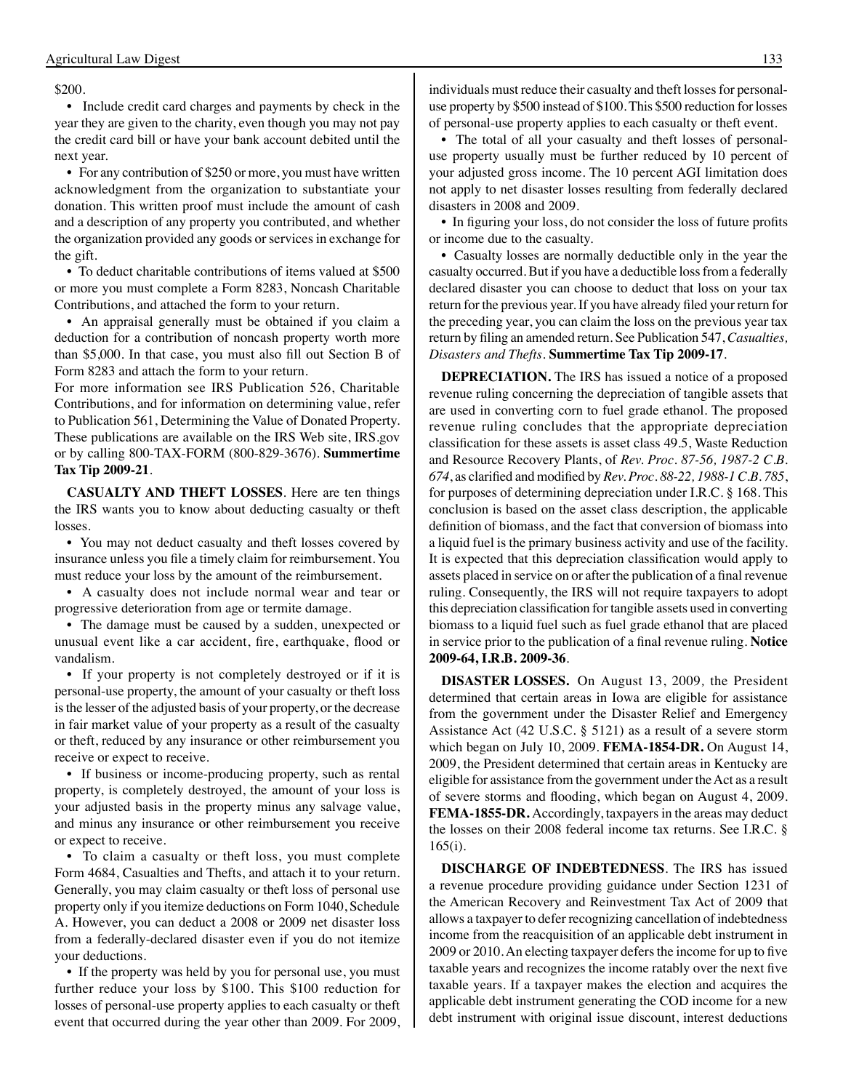#### \$200.

• Include credit card charges and payments by check in the year they are given to the charity, even though you may not pay the credit card bill or have your bank account debited until the next year.

• For any contribution of \$250 or more, you must have written acknowledgment from the organization to substantiate your donation. This written proof must include the amount of cash and a description of any property you contributed, and whether the organization provided any goods or services in exchange for the gift.

• To deduct charitable contributions of items valued at \$500 or more you must complete a Form 8283, Noncash Charitable Contributions, and attached the form to your return.

• An appraisal generally must be obtained if you claim a deduction for a contribution of noncash property worth more than \$5,000. In that case, you must also fill out Section B of Form 8283 and attach the form to your return.

For more information see IRS Publication 526, Charitable Contributions, and for information on determining value, refer to Publication 561, Determining the Value of Donated Property. These publications are available on the IRS Web site, IRS.gov or by calling 800-TAX-FORM (800-829-3676). **Summertime Tax Tip 2009-21**.

**CASUALTY AND THEFT LOSSES**. Here are ten things the IRS wants you to know about deducting casualty or theft losses.

• You may not deduct casualty and theft losses covered by insurance unless you file a timely claim for reimbursement. You must reduce your loss by the amount of the reimbursement.

• A casualty does not include normal wear and tear or progressive deterioration from age or termite damage.

• The damage must be caused by a sudden, unexpected or unusual event like a car accident, fire, earthquake, flood or vandalism.

• If your property is not completely destroyed or if it is personal-use property, the amount of your casualty or theft loss is the lesser of the adjusted basis of your property, or the decrease in fair market value of your property as a result of the casualty or theft, reduced by any insurance or other reimbursement you receive or expect to receive.

• If business or income-producing property, such as rental property, is completely destroyed, the amount of your loss is your adjusted basis in the property minus any salvage value, and minus any insurance or other reimbursement you receive or expect to receive.

• To claim a casualty or theft loss, you must complete Form 4684, Casualties and Thefts, and attach it to your return. Generally, you may claim casualty or theft loss of personal use property only if you itemize deductions on Form 1040, Schedule A. However, you can deduct a 2008 or 2009 net disaster loss from a federally-declared disaster even if you do not itemize your deductions.

• If the property was held by you for personal use, you must further reduce your loss by \$100. This \$100 reduction for losses of personal-use property applies to each casualty or theft event that occurred during the year other than 2009. For 2009,

individuals must reduce their casualty and theft losses for personaluse property by \$500 instead of \$100. This \$500 reduction for losses of personal-use property applies to each casualty or theft event.

• The total of all your casualty and theft losses of personaluse property usually must be further reduced by 10 percent of your adjusted gross income. The 10 percent AGI limitation does not apply to net disaster losses resulting from federally declared disasters in 2008 and 2009.

• In figuring your loss, do not consider the loss of future profits or income due to the casualty.

• Casualty losses are normally deductible only in the year the casualty occurred. But if you have a deductible loss from a federally declared disaster you can choose to deduct that loss on your tax return for the previous year. If you have already filed your return for the preceding year, you can claim the loss on the previous year tax return by filing an amended return. See Publication 547, *Casualties, Disasters and Thefts*. **Summertime Tax Tip 2009-17**.

**DEPRECIATION.** The IRS has issued a notice of a proposed revenue ruling concerning the depreciation of tangible assets that are used in converting corn to fuel grade ethanol. The proposed revenue ruling concludes that the appropriate depreciation classification for these assets is asset class 49.5, Waste Reduction and Resource Recovery Plants, of *Rev. Proc. 87-56, 1987-2 C.B. 674*, as clarified and modified by *Rev. Proc. 88-22, 1988-1 C.B. 785*, for purposes of determining depreciation under I.R.C. § 168. This conclusion is based on the asset class description, the applicable definition of biomass, and the fact that conversion of biomass into a liquid fuel is the primary business activity and use of the facility. It is expected that this depreciation classification would apply to assets placed in service on or after the publication of a final revenue ruling. Consequently, the IRS will not require taxpayers to adopt this depreciation classification for tangible assets used in converting biomass to a liquid fuel such as fuel grade ethanol that are placed in service prior to the publication of a final revenue ruling. **Notice 2009-64, I.R.B. 2009-36**.

**DISASTER LOSSES.** On August 13, 2009*,* the President determined that certain areas in Iowa are eligible for assistance from the government under the Disaster Relief and Emergency Assistance Act (42 U.S.C. § 5121) as a result of a severe storm which began on July 10, 2009*.* **FEMA-1854-DR.** On August 14, 2009, the President determined that certain areas in Kentucky are eligible for assistance from the government under the Act as a result of severe storms and flooding, which began on August 4, 2009. **FEMA-1855-DR.** Accordingly, taxpayers in the areas may deduct the losses on their 2008 federal income tax returns. See I.R.C. § 165(i).

**DISCHARGE OF INDEBTEDNESS**. The IRS has issued a revenue procedure providing guidance under Section 1231 of the American Recovery and Reinvestment Tax Act of 2009 that allows a taxpayer to defer recognizing cancellation of indebtedness income from the reacquisition of an applicable debt instrument in 2009 or 2010. An electing taxpayer defers the income for up to five taxable years and recognizes the income ratably over the next five taxable years. If a taxpayer makes the election and acquires the applicable debt instrument generating the COD income for a new debt instrument with original issue discount, interest deductions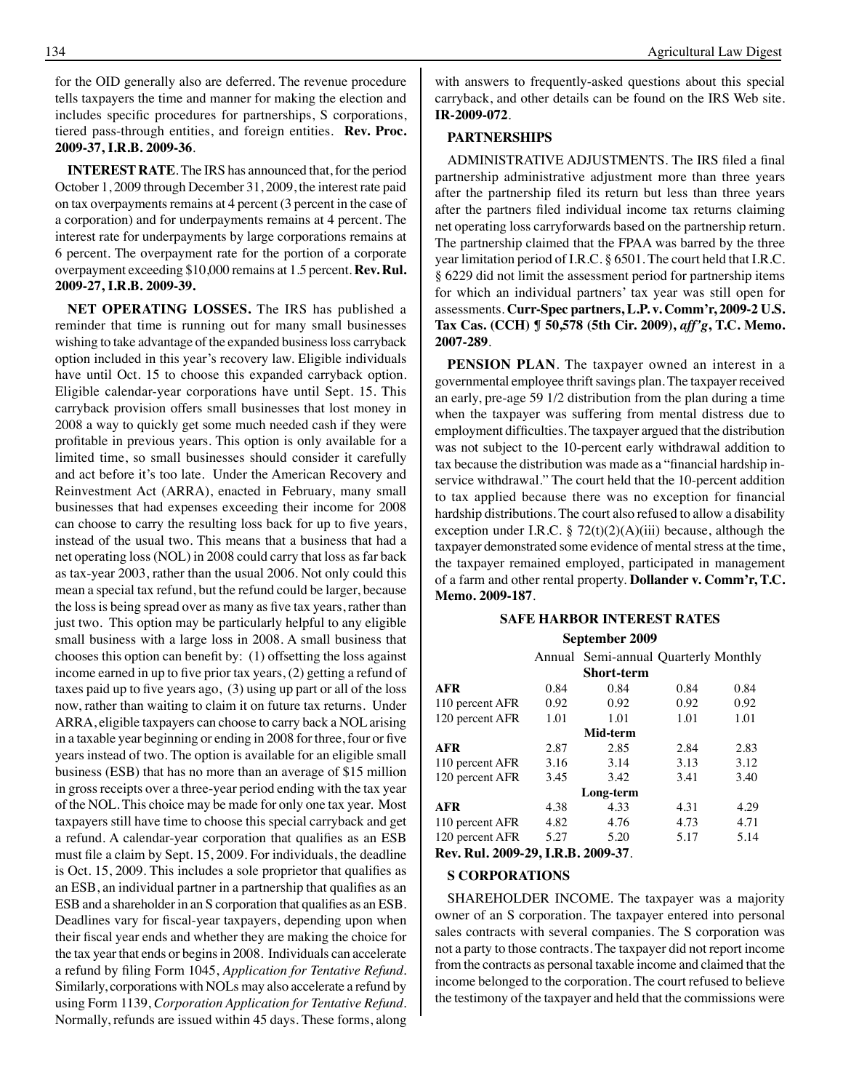for the OID generally also are deferred. The revenue procedure tells taxpayers the time and manner for making the election and includes specific procedures for partnerships, S corporations, tiered pass-through entities, and foreign entities. **Rev. Proc. 2009-37, I.R.B. 2009-36**.

**INTEREST RATE**. The IRS has announced that, for the period October 1, 2009 through December 31, 2009, the interest rate paid on tax overpayments remains at 4 percent (3 percent in the case of a corporation) and for underpayments remains at 4 percent. The interest rate for underpayments by large corporations remains at 6 percent. The overpayment rate for the portion of a corporate overpayment exceeding \$10,000 remains at 1.5 percent. **Rev. Rul. 2009-27, I.R.B. 2009-39.**

**NET OPERATING LOSSES.** The IRS has published a reminder that time is running out for many small businesses wishing to take advantage of the expanded business loss carryback option included in this year's recovery law. Eligible individuals have until Oct. 15 to choose this expanded carryback option. Eligible calendar-year corporations have until Sept. 15. This carryback provision offers small businesses that lost money in 2008 a way to quickly get some much needed cash if they were profitable in previous years. This option is only available for a limited time, so small businesses should consider it carefully and act before it's too late. Under the American Recovery and Reinvestment Act (ARRA), enacted in February, many small businesses that had expenses exceeding their income for 2008 can choose to carry the resulting loss back for up to five years, instead of the usual two. This means that a business that had a net operating loss (NOL) in 2008 could carry that loss as far back as tax-year 2003, rather than the usual 2006. Not only could this mean a special tax refund, but the refund could be larger, because the loss is being spread over as many as five tax years, rather than just two. This option may be particularly helpful to any eligible small business with a large loss in 2008. A small business that chooses this option can benefit by: (1) offsetting the loss against income earned in up to five prior tax years, (2) getting a refund of taxes paid up to five years ago, (3) using up part or all of the loss now, rather than waiting to claim it on future tax returns. Under ARRA, eligible taxpayers can choose to carry back a NOL arising in a taxable year beginning or ending in 2008 for three, four or five years instead of two. The option is available for an eligible small business (ESB) that has no more than an average of \$15 million in gross receipts over a three-year period ending with the tax year of the NOL. This choice may be made for only one tax year. Most taxpayers still have time to choose this special carryback and get a refund. A calendar-year corporation that qualifies as an ESB must file a claim by Sept. 15, 2009. For individuals, the deadline is Oct. 15, 2009. This includes a sole proprietor that qualifies as an ESB, an individual partner in a partnership that qualifies as an ESB and a shareholder in an S corporation that qualifies as an ESB. Deadlines vary for fiscal-year taxpayers, depending upon when their fiscal year ends and whether they are making the choice for the tax year that ends or begins in 2008. Individuals can accelerate a refund by filing Form 1045, *Application for Tentative Refund*. Similarly, corporations with NOLs may also accelerate a refund by using Form 1139, *Corporation Application for Tentative Refund*. Normally, refunds are issued within 45 days. These forms, along

with answers to frequently-asked questions about this special carryback, and other details can be found on the IRS Web site. **IR-2009-072**.

### **PARTNERSHIPS**

ADMINISTRATIVE ADJUSTMENTS. The IRS filed a final partnership administrative adjustment more than three years after the partnership filed its return but less than three years after the partners filed individual income tax returns claiming net operating loss carryforwards based on the partnership return. The partnership claimed that the FPAA was barred by the three year limitation period of I.R.C. § 6501. The court held that I.R.C. § 6229 did not limit the assessment period for partnership items for which an individual partners' tax year was still open for assessments. **Curr-Spec partners, L.P. v. Comm'r, 2009-2 U.S. Tax Cas. (CCH) ¶ 50,578 (5th Cir. 2009),** *aff'g***, T.C. Memo. 2007-289**.

**PENSION PLAN**. The taxpayer owned an interest in a governmental employee thrift savings plan. The taxpayer received an early, pre-age 59 1/2 distribution from the plan during a time when the taxpayer was suffering from mental distress due to employment difficulties. The taxpayer argued that the distribution was not subject to the 10-percent early withdrawal addition to tax because the distribution was made as a "financial hardship inservice withdrawal." The court held that the 10-percent addition to tax applied because there was no exception for financial hardship distributions. The court also refused to allow a disability exception under I.R.C. §  $72(t)(2)(A)(iii)$  because, although the taxpayer demonstrated some evidence of mental stress at the time, the taxpayer remained employed, participated in management of a farm and other rental property. **Dollander v. Comm'r, T.C. Memo. 2009-187**.

## **Safe Harbor interest rates**

## **September 2009**

|                 |      | Annual Semi-annual Quarterly Monthly |      |      |
|-----------------|------|--------------------------------------|------|------|
|                 |      | <b>Short-term</b>                    |      |      |
| <b>AFR</b>      | 0.84 | 0.84                                 | 0.84 | 0.84 |
| 110 percent AFR | 0.92 | 0.92                                 | 0.92 | 0.92 |
| 120 percent AFR | 1.01 | 1.01                                 | 1.01 | 1.01 |
| Mid-term        |      |                                      |      |      |
| <b>AFR</b>      | 2.87 | 2.85                                 | 2.84 | 2.83 |
| 110 percent AFR | 3.16 | 3.14                                 | 3.13 | 3.12 |
| 120 percent AFR | 3.45 | 3.42                                 | 3.41 | 3.40 |
|                 |      | Long-term                            |      |      |
| <b>AFR</b>      | 4.38 | 4.33                                 | 4.31 | 4.29 |
| 110 percent AFR | 4.82 | 4.76                                 | 4.73 | 4.71 |
| 120 percent AFR | 5.27 | 5.20                                 | 5.17 | 5.14 |
| - - - - - - -   |      | $\sim$ $\sim$ $\sim$                 |      |      |

## **Rev. Rul. 2009-29, I.R.B. 2009-37**.

#### **S CORPORATIONS**

SHAREHOLDER INCOME. The taxpayer was a majority owner of an S corporation. The taxpayer entered into personal sales contracts with several companies. The S corporation was not a party to those contracts. The taxpayer did not report income from the contracts as personal taxable income and claimed that the income belonged to the corporation. The court refused to believe the testimony of the taxpayer and held that the commissions were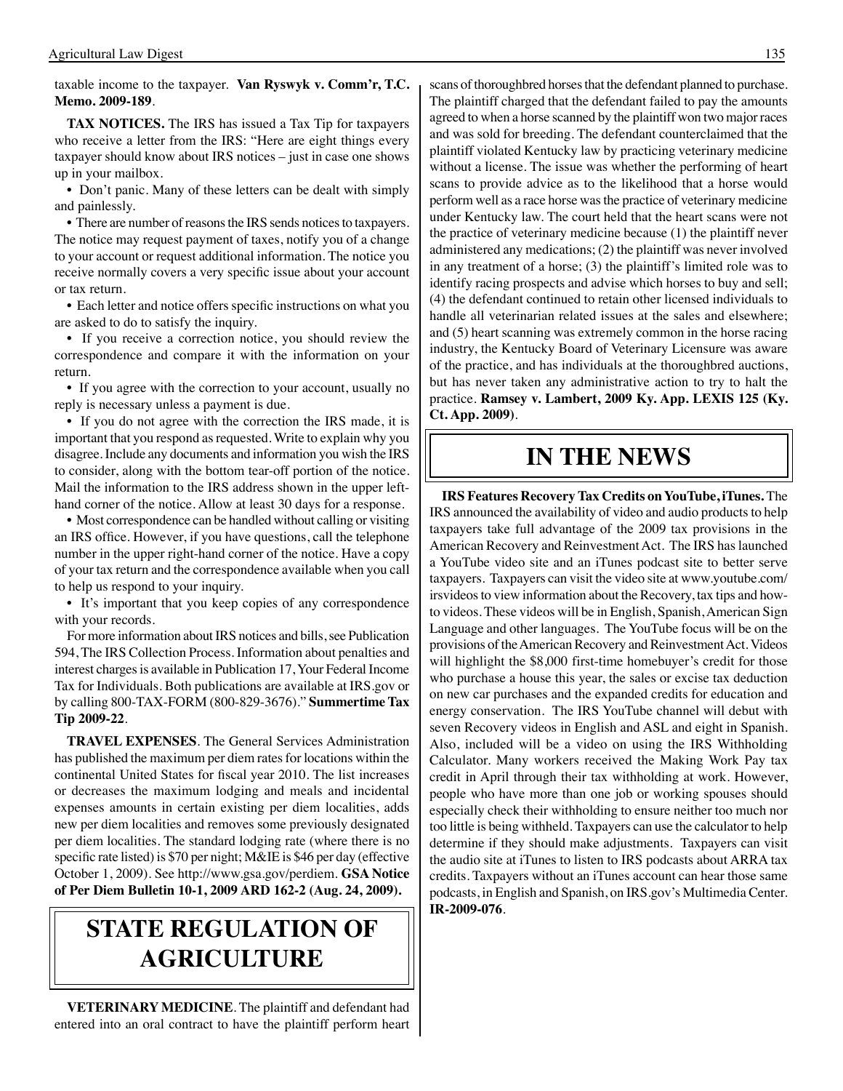## taxable income to the taxpayer. **Van Ryswyk v. Comm'r, T.C. Memo. 2009-189**.

**TAX NOTICES.** The IRS has issued a Tax Tip for taxpayers who receive a letter from the IRS: "Here are eight things every taxpayer should know about IRS notices – just in case one shows up in your mailbox.

• Don't panic. Many of these letters can be dealt with simply and painlessly.

• There are number of reasons the IRS sends notices to taxpayers. The notice may request payment of taxes, notify you of a change to your account or request additional information. The notice you receive normally covers a very specific issue about your account or tax return.

• Each letter and notice offers specific instructions on what you are asked to do to satisfy the inquiry.

• If you receive a correction notice, you should review the correspondence and compare it with the information on your return.

• If you agree with the correction to your account, usually no reply is necessary unless a payment is due.

• If you do not agree with the correction the IRS made, it is important that you respond as requested. Write to explain why you disagree. Include any documents and information you wish the IRS to consider, along with the bottom tear-off portion of the notice. Mail the information to the IRS address shown in the upper lefthand corner of the notice. Allow at least 30 days for a response.

• Most correspondence can be handled without calling or visiting an IRS office. However, if you have questions, call the telephone number in the upper right-hand corner of the notice. Have a copy of your tax return and the correspondence available when you call to help us respond to your inquiry.

• It's important that you keep copies of any correspondence with your records.

For more information about IRS notices and bills, see Publication 594, The IRS Collection Process. Information about penalties and interest charges is available in Publication 17, Your Federal Income Tax for Individuals. Both publications are available at IRS.gov or by calling 800-TAX-FORM (800-829-3676)." **Summertime Tax Tip 2009-22**.

**TRAVEL EXPENSES**. The General Services Administration has published the maximum per diem rates for locations within the continental United States for fiscal year 2010. The list increases or decreases the maximum lodging and meals and incidental expenses amounts in certain existing per diem localities, adds new per diem localities and removes some previously designated per diem localities. The standard lodging rate (where there is no specific rate listed) is \$70 per night; M&IE is \$46 per day (effective October 1, 2009). See http://www.gsa.gov/perdiem. **GSA Notice of Per Diem Bulletin 10-1, 2009 ARD 162-2 (Aug. 24, 2009).**

# **State regulation of agriculture**

**VETERINARY MEDICINE**. The plaintiff and defendant had entered into an oral contract to have the plaintiff perform heart

scans of thoroughbred horses that the defendant planned to purchase. The plaintiff charged that the defendant failed to pay the amounts agreed to when a horse scanned by the plaintiff won two major races and was sold for breeding. The defendant counterclaimed that the plaintiff violated Kentucky law by practicing veterinary medicine without a license. The issue was whether the performing of heart scans to provide advice as to the likelihood that a horse would perform well as a race horse was the practice of veterinary medicine under Kentucky law. The court held that the heart scans were not the practice of veterinary medicine because (1) the plaintiff never administered any medications; (2) the plaintiff was never involved in any treatment of a horse; (3) the plaintiff's limited role was to identify racing prospects and advise which horses to buy and sell; (4) the defendant continued to retain other licensed individuals to handle all veterinarian related issues at the sales and elsewhere; and (5) heart scanning was extremely common in the horse racing industry, the Kentucky Board of Veterinary Licensure was aware of the practice, and has individuals at the thoroughbred auctions, but has never taken any administrative action to try to halt the practice. **Ramsey v. Lambert, 2009 Ky. App. LEXIS 125 (Ky. Ct. App. 2009)**.

## **in the news**

**IRS Features Recovery Tax Credits on YouTube, iTunes.** The IRS announced the availability of video and audio products to help taxpayers take full advantage of the 2009 tax provisions in the American Recovery and Reinvestment Act. The IRS has launched a YouTube video site and an iTunes podcast site to better serve taxpayers. Taxpayers can visit the video site at www.youtube.com/ irsvideos to view information about the Recovery, tax tips and howto videos. These videos will be in English, Spanish, American Sign Language and other languages. The YouTube focus will be on the provisions of the American Recovery and Reinvestment Act. Videos will highlight the \$8,000 first-time homebuyer's credit for those who purchase a house this year, the sales or excise tax deduction on new car purchases and the expanded credits for education and energy conservation. The IRS YouTube channel will debut with seven Recovery videos in English and ASL and eight in Spanish. Also, included will be a video on using the IRS Withholding Calculator. Many workers received the Making Work Pay tax credit in April through their tax withholding at work. However, people who have more than one job or working spouses should especially check their withholding to ensure neither too much nor too little is being withheld. Taxpayers can use the calculator to help determine if they should make adjustments. Taxpayers can visit the audio site at iTunes to listen to IRS podcasts about ARRA tax credits. Taxpayers without an iTunes account can hear those same podcasts, in English and Spanish, on IRS.gov's Multimedia Center. **IR-2009-076**.